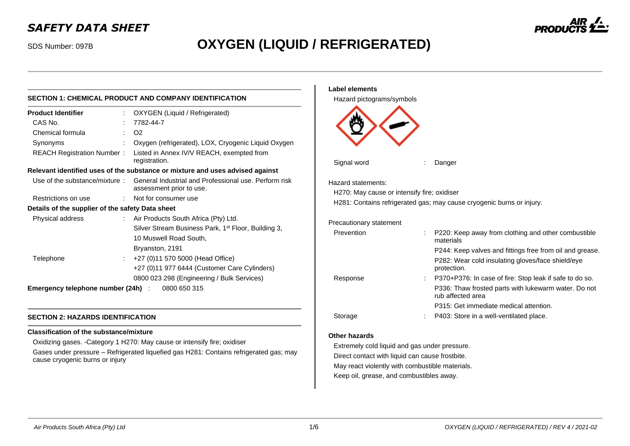# *SAFETY DATA SHEET*

# SDS Number: 097B **OXYGEN (LIQUID / REFRIGERATED)**

|                                                    |  |                                                                                                                                     | Label elements                                                        |                                                                           |                                                                                                                              |  |
|----------------------------------------------------|--|-------------------------------------------------------------------------------------------------------------------------------------|-----------------------------------------------------------------------|---------------------------------------------------------------------------|------------------------------------------------------------------------------------------------------------------------------|--|
|                                                    |  | SECTION 1: CHEMICAL PRODUCT AND COMPANY IDENTIFICATION                                                                              | Hazard pictograms/symbols                                             |                                                                           |                                                                                                                              |  |
| <b>Product Identifier</b>                          |  | OXYGEN (Liquid / Refrigerated)                                                                                                      |                                                                       |                                                                           |                                                                                                                              |  |
| CAS No.                                            |  | 7782-44-7                                                                                                                           |                                                                       |                                                                           |                                                                                                                              |  |
| Chemical formula                                   |  | O <sub>2</sub>                                                                                                                      |                                                                       |                                                                           |                                                                                                                              |  |
| Synonyms                                           |  | Oxygen (refrigerated), LOX, Cryogenic Liquid Oxygen                                                                                 |                                                                       |                                                                           |                                                                                                                              |  |
| <b>REACH Registration Number:</b>                  |  | Listed in Annex IV/V REACH, exempted from<br>registration.                                                                          | Signal word                                                           |                                                                           | Danger                                                                                                                       |  |
|                                                    |  | Relevant identified uses of the substance or mixture and uses advised against                                                       |                                                                       |                                                                           |                                                                                                                              |  |
| Use of the substance/mixture:                      |  | General Industrial and Professional use. Perform risk<br>assessment prior to use.                                                   | Hazard statements:                                                    |                                                                           |                                                                                                                              |  |
| Restrictions on use                                |  | Not for consumer use                                                                                                                | H270: May cause or intensify fire; oxidiser                           |                                                                           |                                                                                                                              |  |
| Details of the supplier of the safety Data sheet   |  |                                                                                                                                     | H281: Contains refrigerated gas; may cause cryogenic burns or injury. |                                                                           |                                                                                                                              |  |
| Physical address                                   |  | : Air Products South Africa (Pty) Ltd.<br>Silver Stream Business Park, 1 <sup>st</sup> Floor, Building 3,<br>10 Muswell Road South. | Precautionary statement<br>Prevention                                 |                                                                           | P220: Keep away from clothing and other combustible                                                                          |  |
|                                                    |  | Bryanston, 2191                                                                                                                     |                                                                       |                                                                           | materials                                                                                                                    |  |
| Telephone                                          |  | +27 (0)11 570 5000 (Head Office)<br>+27 (0)11 977 6444 (Customer Care Cylinders)                                                    |                                                                       |                                                                           | P244: Keep valves and fittings free from oil and grease.<br>P282: Wear cold insulating gloves/face shield/eye<br>protection. |  |
|                                                    |  | 0800 023 298 (Engineering / Bulk Services)                                                                                          | Response                                                              |                                                                           | P370+P376: In case of fire: Stop leak if safe to do so.                                                                      |  |
| Emergency telephone number (24h) :<br>0800 650 315 |  |                                                                                                                                     |                                                                       | P336: Thaw frosted parts with lukewarm water. Do not<br>rub affected area |                                                                                                                              |  |
|                                                    |  |                                                                                                                                     |                                                                       |                                                                           | P315: Get immediate medical attention.                                                                                       |  |
| <b>SECTION 2: HAZARDS IDENTIFICATION</b>           |  |                                                                                                                                     | Storage                                                               |                                                                           | P403: Store in a well-ventilated place.                                                                                      |  |

# **SECTION 2: HAZARDS IDENTIFICATION**

# **Classification of the substance/mixture**

Oxidizing gases. -Category 1 H270: May cause or intensify fire; oxidiser Gases under pressure – Refrigerated liquefied gas H281: Contains refrigerated gas; may cause cryogenic burns or injury

### *Air Products South Africa (Pty) Ltd* 1/6 *OXYGEN (LIQUID / REFRIGERATED) / REV 4 / 2021-02*

**Other hazards**

Extremely cold liquid and gas under pressure. Direct contact with liquid can cause frostbite. May react violently with combustible materials. Keep oil, grease, and combustibles away.

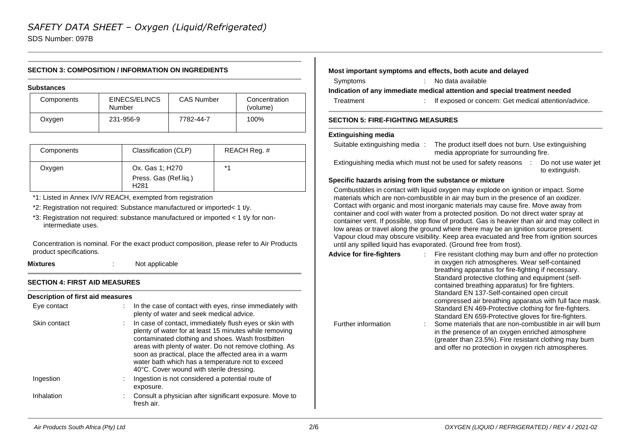SDS Number: 097B

# **SECTION 3: COMPOSITION / INFORMATION ON INGREDIENTS**

#### **Substances**

| Components | EINECS/ELINCS<br>Number | <b>CAS Number</b> | Concentration<br>(volume) |
|------------|-------------------------|-------------------|---------------------------|
| Oxygen     | 231-956-9               | 7782-44-7         | 100%                      |

| Components | Classification (CLP)                                         | REACH Req. # |
|------------|--------------------------------------------------------------|--------------|
| Oxygen     | Ox. Gas 1; H270<br>Press. Gas (Ref.lig.)<br>H <sub>281</sub> | $*$ 4        |

\*1: Listed in Annex IV/V REACH, exempted from registration

\*2: Registration not required: Substance manufactured or imported< 1 t/y.

\*3: Registration not required: substance manufactured or imported < 1 t/y for nonintermediate uses.

Concentration is nominal. For the exact product composition, please refer to Air Products product specifications.

**Mixtures** : Not applicable

# **SECTION 4: FIRST AID MEASURES**

# **Description of first aid measures**

| Eye contact  | In the case of contact with eyes, rinse immediately with<br>plenty of water and seek medical advice.                                                                                                                                                                                                                                                                                     |
|--------------|------------------------------------------------------------------------------------------------------------------------------------------------------------------------------------------------------------------------------------------------------------------------------------------------------------------------------------------------------------------------------------------|
| Skin contact | In case of contact, immediately flush eyes or skin with<br>plenty of water for at least 15 minutes while removing<br>contaminated clothing and shoes. Wash frostbitten<br>areas with plenty of water. Do not remove clothing. As<br>soon as practical, place the affected area in a warm<br>water bath which has a temperature not to exceed<br>40°C. Cover wound with sterile dressing. |
| Ingestion    | Ingestion is not considered a potential route of<br>exposure.                                                                                                                                                                                                                                                                                                                            |
| Inhalation   | Consult a physician after significant exposure. Move to<br>fresh air.                                                                                                                                                                                                                                                                                                                    |

# **Most important symptoms and effects, both acute and delayed**

Symptoms : No data available

### **Indication of any immediate medical attention and special treatment needed**

Treatment : If exposed or concern: Get medical attention/advice.

# **SECTION 5: FIRE-FIGHTING MEASURES**

### **Extinguishing media**

| Suitable extinguishing media: | The product itself does not burn. Use extinguishing |
|-------------------------------|-----------------------------------------------------|
|                               | media appropriate for surrounding fire.             |

Extinguishing media which must not be used for safety reasons : Do not use water jet to extinguish.

# **Specific hazards arising from the substance or mixture**

Combustibles in contact with liquid oxygen may explode on ignition or impact. Some materials which are non-combustible in air may burn in the presence of an oxidizer. Contact with organic and most inorganic materials may cause fire. Move away from container and cool with water from a protected position. Do not direct water spray at container vent. If possible, stop flow of product. Gas is heavier than air and may collect in low areas or travel along the ground where there may be an ignition source present. Vapour cloud may obscure visibility. Keep area evacuated and free from ignition sources until any spilled liquid has evaporated. (Ground free from frost).

| <b>Advice for fire-fighters</b> | Fire resistant clothing may burn and offer no protection<br>in oxygen rich atmospheres. Wear self-contained<br>breathing apparatus for fire-fighting if necessary.<br>Standard protective clothing and equipment (self-<br>contained breathing apparatus) for fire fighters.<br>Standard EN 137-Self-contained open circuit<br>compressed air breathing apparatus with full face mask.<br>Standard EN 469-Protective clothing for fire-fighters. |
|---------------------------------|--------------------------------------------------------------------------------------------------------------------------------------------------------------------------------------------------------------------------------------------------------------------------------------------------------------------------------------------------------------------------------------------------------------------------------------------------|
| Further information             | Standard EN 659-Protective gloves for fire-fighters.<br>Some materials that are non-combustible in air will burn                                                                                                                                                                                                                                                                                                                                 |
|                                 | in the presence of an oxygen enriched atmosphere<br>(greater than 23.5%). Fire resistant clothing may burn<br>and offer no protection in oxygen rich atmospheres.                                                                                                                                                                                                                                                                                |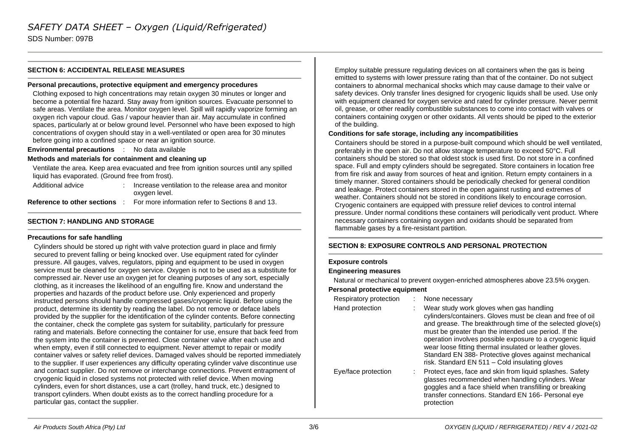SDS Number: 097B

### **SECTION 6: ACCIDENTAL RELEASE MEASURES**

### **Personal precautions, protective equipment and emergency procedures**

Clothing exposed to high concentrations may retain oxygen 30 minutes or longer and become a potential fire hazard. Stay away from ignition sources. Evacuate personnel to safe areas. Ventilate the area. Monitor oxygen level. Spill will rapidly vaporize forming an oxygen rich vapour cloud. Gas / vapour heavier than air. May accumulate in confined spaces, particularly at or below ground level. Personnel who have been exposed to high concentrations of oxygen should stay in a well-ventilated or open area for 30 minutes before going into a confined space or near an ignition source.

**Environmental precautions** : No data available

### **Methods and materials for containment and cleaning up**

Ventilate the area. Keep area evacuated and free from ignition sources until any spilled liquid has evaporated. (Ground free from frost).

| Additional advice | Increase ventilation to the release area and monitor                                  |
|-------------------|---------------------------------------------------------------------------------------|
|                   | oxygen level.                                                                         |
|                   | <b>Reference to other sections</b> : For more information refer to Sections 8 and 13. |

# **SECTION 7: HANDLING AND STORAGE**

### **Precautions for safe handling**

Cylinders should be stored up right with valve protection guard in place and firmly secured to prevent falling or being knocked over. Use equipment rated for cylinder pressure. All gauges, valves, regulators, piping and equipment to be used in oxygen service must be cleaned for oxygen service. Oxygen is not to be used as a substitute for compressed air. Never use an oxygen jet for cleaning purposes of any sort, especially clothing, as it increases the likelihood of an engulfing fire. Know and understand the properties and hazards of the product before use. Only experienced and properly instructed persons should handle compressed gases/cryogenic liquid. Before using the product, determine its identity by reading the label. Do not remove or deface labels provided by the supplier for the identification of the cylinder contents. Before connecting the container, check the complete gas system for suitability, particularly for pressure rating and materials. Before connecting the container for use, ensure that back feed from the system into the container is prevented. Close container valve after each use and when empty, even if still connected to equipment. Never attempt to repair or modify container valves or safety relief devices. Damaged valves should be reported immediately to the supplier. If user experiences any difficulty operating cylinder valve discontinue use and contact supplier. Do not remove or interchange connections. Prevent entrapment of cryogenic liquid in closed systems not protected with relief device. When moving cylinders, even for short distances, use a cart (trolley, hand truck, etc.) designed to transport cylinders. When doubt exists as to the correct handling procedure for a particular gas, contact the supplier.

Employ suitable pressure regulating devices on all containers when the gas is being emitted to systems with lower pressure rating than that of the container. Do not subject containers to abnormal mechanical shocks which may cause damage to their valve or safety devices. Only transfer lines designed for cryogenic liquids shall be used. Use only with equipment cleaned for oxygen service and rated for cylinder pressure. Never permit oil, grease, or other readily combustible substances to come into contact with valves or containers containing oxygen or other oxidants. All vents should be piped to the exterior of the building.

### **Conditions for safe storage, including any incompatibilities**

Containers should be stored in a purpose-built compound which should be well ventilated, preferably in the open air. Do not allow storage temperature to exceed 50°C. Full containers should be stored so that oldest stock is used first. Do not store in a confined space. Full and empty cylinders should be segregated. Store containers in location free from fire risk and away from sources of heat and ignition. Return empty containers in a timely manner. Stored containers should be periodically checked for general condition and leakage. Protect containers stored in the open against rusting and extremes of weather. Containers should not be stored in conditions likely to encourage corrosion. Cryogenic containers are equipped with pressure relief devices to control internal pressure. Under normal conditions these containers will periodically vent product. Where necessary containers containing oxygen and oxidants should be separated from flammable gases by a fire-resistant partition.

# **SECTION 8: EXPOSURE CONTROLS AND PERSONAL PROTECTION**

### **Exposure controls**

### **Engineering measures**

Natural or mechanical to prevent oxygen-enriched atmospheres above 23.5% oxygen.

# **Personal protective equipment**

| Respiratory protection | None necessary                                                                                                                                                                                                                                                                                                                                                                                                                                                   |
|------------------------|------------------------------------------------------------------------------------------------------------------------------------------------------------------------------------------------------------------------------------------------------------------------------------------------------------------------------------------------------------------------------------------------------------------------------------------------------------------|
| Hand protection        | Wear study work gloves when gas handling<br>cylinders/containers. Gloves must be clean and free of oil<br>and grease. The breakthrough time of the selected glove(s)<br>must be greater than the intended use period. If the<br>operation involves possible exposure to a cryogenic liquid<br>wear loose fitting thermal insulated or leather gloves.<br>Standard EN 388- Protective gloves against mechanical<br>risk. Standard EN 511 - Cold insulating gloves |
| Eye/face protection    | Protect eyes, face and skin from liquid splashes. Safety<br>glasses recommended when handling cylinders. Wear<br>goggles and a face shield when transfilling or breaking<br>transfer connections. Standard EN 166- Personal eye<br>protection                                                                                                                                                                                                                    |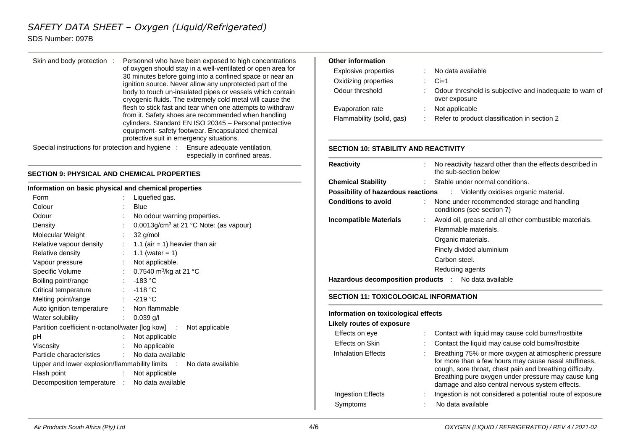# *SAFETY DATA SHEET – Oxygen (Liquid/Refrigerated)*

# SDS Number: 097B

### Skin and body protection : Personnel who have been exposed to high concentrations of oxygen should stay in a well-ventilated or open area for 30 minutes before going into a confined space or near an ignition source. Never allow any unprotected part of the body to touch un-insulated pipes or vessels which contain cryogenic fluids. The extremely cold metal will cause the flesh to stick fast and tear when one attempts to withdraw from it. Safety shoes are recommended when handling cylinders. Standard EN ISO 20345 – Personal protective equipment- safety footwear. Encapsulated chemical protective suit in emergency situations. Special instructions for protection and hygiene : Ensure adequate ventilation,

especially in confined areas.

# **SECTION 9: PHYSICAL AND CHEMICAL PROPERTIES**

### **Information on basic physical and chemical properties**

| Form                                                              | t.                         | Liquefied gas.                                     |  |
|-------------------------------------------------------------------|----------------------------|----------------------------------------------------|--|
| Colour                                                            |                            | Blue                                               |  |
| Odour                                                             | ÷                          | No odour warning properties.                       |  |
| Density                                                           |                            | 0.0013g/cm <sup>3</sup> at 21 °C Note: (as vapour) |  |
| Molecular Weight                                                  |                            | 32 g/mol                                           |  |
| Relative vapour density                                           |                            | $\therefore$ 1.1 (air = 1) heavier than air        |  |
| Relative density                                                  | $\mathcal{L}^{\text{max}}$ | 1.1 (water = 1)                                    |  |
| Vapour pressure                                                   | t.                         | Not applicable.                                    |  |
| Specific Volume                                                   |                            | : $0.7540 \text{ m}^3\text{/kg}$ at 21 °C          |  |
| Boiling point/range                                               |                            | $: -183 °C$                                        |  |
| Critical temperature                                              |                            | $: -118 °C$                                        |  |
| Melting point/range                                               |                            | : -219 °C                                          |  |
| Auto ignition temperature                                         |                            | : Non flammable                                    |  |
| Water solubility                                                  |                            | : $0.039$ g/l                                      |  |
| Partition coefficient n-octanol/water [log kow] : Not applicable  |                            |                                                    |  |
| рH                                                                | t.                         | Not applicable                                     |  |
| Viscosity                                                         |                            | No applicable                                      |  |
| Particle characteristics                                          |                            | : No data available                                |  |
| Upper and lower explosion/flammability limits : No data available |                            |                                                    |  |
| Flash point                                                       | $\mathbb{R}^{\mathbb{Z}}$  | Not applicable                                     |  |
| Decomposition temperature : No data available                     |                            |                                                    |  |
|                                                                   |                            |                                                    |  |

# **Other information**

| Explosive properties      | . .                       | No data available                                                        |
|---------------------------|---------------------------|--------------------------------------------------------------------------|
| Oxidizing properties      | $\mathbb{R}^{\mathbb{Z}}$ | $Ci=1$                                                                   |
| Odour threshold           | t.                        | Odour threshold is subjective and inadequate to warn of<br>over exposure |
| Evaporation rate          |                           | Not applicable                                                           |
| Flammability (solid, gas) | ÷.                        | Refer to product classification in section 2                             |

# **SECTION 10: STABILITY AND REACTIVITY**

| <b>Reactivity</b>                                    | No reactivity hazard other than the effects described in<br>the sub-section below                                                                 |
|------------------------------------------------------|---------------------------------------------------------------------------------------------------------------------------------------------------|
| <b>Chemical Stability</b>                            | : Stable under normal conditions.                                                                                                                 |
|                                                      | <b>Possibility of hazardous reactions</b> : Violently oxidises organic material.                                                                  |
| <b>Conditions to avoid</b>                           | : None under recommended storage and handling<br>conditions (see section 7)                                                                       |
| <b>Incompatible Materials</b><br>t in                | Avoid oil, grease and all other combustible materials.<br>Flammable materials.<br>Organic materials.<br>Finely divided aluminium<br>Carbon steel. |
|                                                      | Reducing agents                                                                                                                                   |
| Hazardous decomposition products : No data available |                                                                                                                                                   |

# **SECTION 11: TOXICOLOGICAL INFORMATION**

### **Information on toxicological effects**

# **Likely routes of exposure**

| Effects on eye            |   | Contact with liquid may cause cold burns/frostbite                                                                                                                                                                                                                                  |
|---------------------------|---|-------------------------------------------------------------------------------------------------------------------------------------------------------------------------------------------------------------------------------------------------------------------------------------|
| Effects on Skin           |   | Contact the liquid may cause cold burns/frostbite                                                                                                                                                                                                                                   |
| <b>Inhalation Effects</b> |   | Breathing 75% or more oxygen at atmospheric pressure<br>for more than a few hours may cause nasal stuffiness,<br>cough, sore throat, chest pain and breathing difficulty.<br>Breathing pure oxygen under pressure may cause lung<br>damage and also central nervous system effects. |
| <b>Ingestion Effects</b>  |   | Ingestion is not considered a potential route of exposure                                                                                                                                                                                                                           |
| Symptoms                  | ٠ | No data available                                                                                                                                                                                                                                                                   |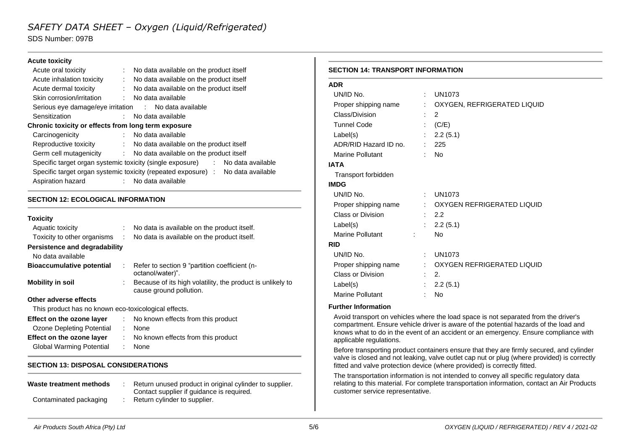# *SAFETY DATA SHEET – Oxygen (Liquid/Refrigerated)*

SDS Number: 097B

### **Acute toxicity**

|                                                     | Acute oral toxicity                                   |  | No data available on the product itself                                         |  |  |
|-----------------------------------------------------|-------------------------------------------------------|--|---------------------------------------------------------------------------------|--|--|
|                                                     | Acute inhalation toxicity                             |  | : No data available on the product itself                                       |  |  |
|                                                     | Acute dermal toxicity                                 |  | No data available on the product itself                                         |  |  |
|                                                     | Skin corrosion/irritation                             |  | : No data available                                                             |  |  |
|                                                     | Serious eye damage/eye irritation : No data available |  |                                                                                 |  |  |
|                                                     | Sensitization                                         |  | No data available                                                               |  |  |
| Chronic toxicity or effects from long term exposure |                                                       |  |                                                                                 |  |  |
|                                                     | Carcinogenicity                                       |  | No data available                                                               |  |  |
|                                                     | Reproductive toxicity                                 |  | : No data available on the product itself                                       |  |  |
|                                                     |                                                       |  | Germ cell mutagenicity : No data available on the product itself                |  |  |
|                                                     |                                                       |  | Specific target organ systemic toxicity (single exposure) : No data available   |  |  |
|                                                     |                                                       |  | Specific target organ systemic toxicity (repeated exposure) : No data available |  |  |
|                                                     | Aspiration hazard                                     |  | No data available                                                               |  |  |
|                                                     |                                                       |  |                                                                                 |  |  |

# **SECTION 12: ECOLOGICAL INFORMATION**

### **Toxicity**

| Aquatic toxicity                                     |               | No data is available on the product itself.                                           |  |  |
|------------------------------------------------------|---------------|---------------------------------------------------------------------------------------|--|--|
| Toxicity to other organisms                          | $\mathcal{L}$ | No data is available on the product itself.                                           |  |  |
| Persistence and degradability                        |               |                                                                                       |  |  |
| No data available                                    |               |                                                                                       |  |  |
| <b>Bioaccumulative potential</b>                     |               | : Refer to section 9 "partition coefficient (n-<br>octanol/water)".                   |  |  |
| <b>Mobility in soil</b>                              |               | Because of its high volatility, the product is unlikely to<br>cause ground pollution. |  |  |
| Other adverse effects                                |               |                                                                                       |  |  |
| This product has no known eco-toxicological effects. |               |                                                                                       |  |  |
| Effect on the ozone layer                            |               | : No known effects from this product                                                  |  |  |
| Ozone Depleting Potential                            | ÷.            | None                                                                                  |  |  |
| Effect on the ozone layer                            |               | : No known effects from this product                                                  |  |  |
| Global Warming Potential                             |               | None                                                                                  |  |  |

# **SECTION 13: DISPOSAL CONSIDERATIONS**

| Waste treatment methods |  | Return unused product in original cylinder to supplier. |
|-------------------------|--|---------------------------------------------------------|
|                         |  | Contact supplier if guidance is required.               |
| Contaminated packaging  |  | Return cylinder to supplier.                            |

#### **SECTION 14: TRANSPORT INFORMATION**

| <b>ADR</b>                         |                           |                                                   |
|------------------------------------|---------------------------|---------------------------------------------------|
| UN/ID No.                          | ÷                         | <b>UN1073</b>                                     |
| Proper shipping name               |                           | : OXYGEN, REFRIGERATED LIQUID                     |
| Class/Division                     |                           | 2                                                 |
| <b>Tunnel Code</b>                 | ÷.                        | (C/E)                                             |
| Label(s)                           | $\mathbb{R}^{\mathbb{Z}}$ | 2.2(5.1)                                          |
| ADR/RID Hazard ID no.              | t.                        | 225                                               |
| Marine Pollutant                   |                           | <b>No</b>                                         |
| <b>IATA</b>                        |                           |                                                   |
| Transport forbidden                |                           |                                                   |
| <b>IMDG</b>                        |                           |                                                   |
| UN/ID No.                          |                           | : UN1073                                          |
|                                    |                           | Proper shipping name : OXYGEN REFRIGERATED LIQUID |
| Class or Division                  |                           | $\therefore$ 2.2                                  |
| Label(s)                           |                           | : 2.2(5.1)                                        |
| Marine Pollutant<br><b>Service</b> |                           | <b>No</b>                                         |
| <b>RID</b>                         |                           |                                                   |
| UN/ID No.                          | ÷                         | <b>UN1073</b>                                     |
| Proper shipping name               |                           | : OXYGEN REFRIGERATED LIQUID                      |
| Class or Division                  | $\mathcal{L}$             | 2.                                                |
| Label(s)                           | $\mathbb{R}^{\mathbb{Z}}$ | 2.2(5.1)                                          |
| <b>Marine Pollutant</b>            |                           | <b>No</b>                                         |

### **Further Information**

Avoid transport on vehicles where the load space is not separated from the driver's compartment. Ensure vehicle driver is aware of the potential hazards of the load and knows what to do in the event of an accident or an emergency. Ensure compliance with applicable regulations.

Before transporting product containers ensure that they are firmly secured, and cylinder valve is closed and not leaking, valve outlet cap nut or plug (where provided) is correctly fitted and valve protection device (where provided) is correctly fitted.

The transportation information is not intended to convey all specific regulatory data relating to this material. For complete transportation information, contact an Air Products customer service representative.